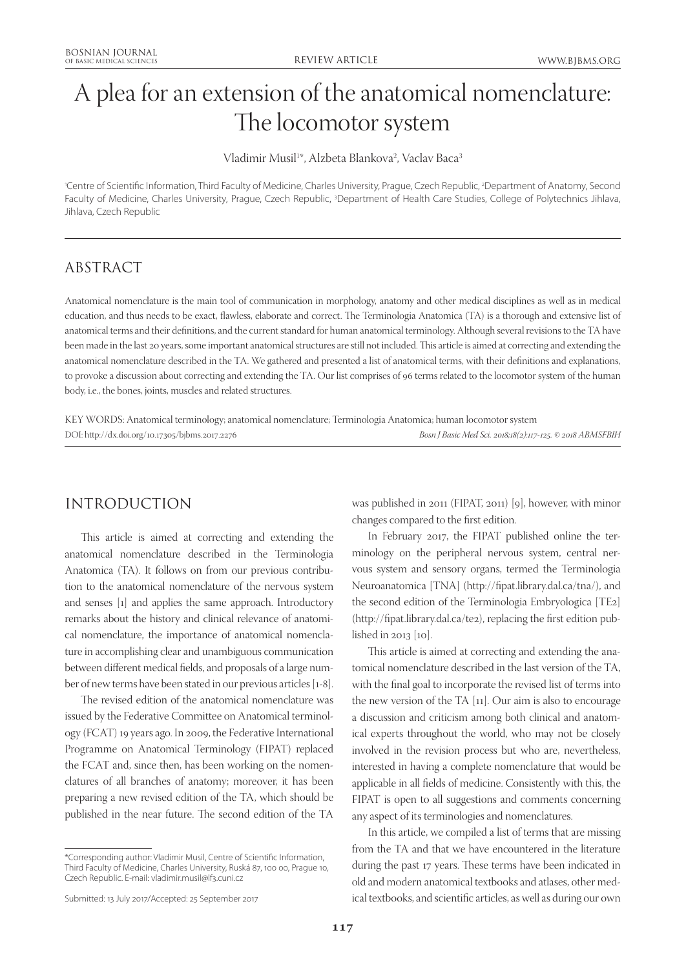# A plea for an extension of the anatomical nomenclature: The locomotor system

Vladimir Musil<sup>1</sup>\*, Alzbeta Blankova<sup>2</sup>, Vaclav Baca<sup>3</sup>

'Centre of Scientific Information, Third Faculty of Medicine, Charles University, Prague, Czech Republic, <sup>2</sup>Department of Anatomy, Second Faculty of Medicine, Charles University, Prague, Czech Republic, <sup>3</sup>Department of Health Care Studies, College of Polytechnics Jihlava, Jihlava, Czech Republic

## ABSTRACT

Anatomical nomenclature is the main tool of communication in morphology, anatomy and other medical disciplines as well as in medical education, and thus needs to be exact, flawless, elaborate and correct. The Terminologia Anatomica (TA) is a thorough and extensive list of anatomical terms and their definitions, and the current standard for human anatomical terminology. Although several revisions to the TA have been made in the last 20 years, some important anatomical structures are still not included. This article is aimed at correcting and extending the anatomical nomenclature described in the TA. We gathered and presented a list of anatomical terms, with their definitions and explanations, to provoke a discussion about correcting and extending the TA. Our list comprises of 96 terms related to the locomotor system of the human body, i.e., the bones, joints, muscles and related structures.

KEY WORDS: Anatomical terminology; anatomical nomenclature; Terminologia Anatomica; human locomotor system DOI: http://dx.doi.org/10.17305/bjbms.2017.2276 *Bosn J Basic Med Sci. 2018;18(2):117-125. © 2018 ABMSFBIH*

## INTRODUCTION

This article is aimed at correcting and extending the anatomical nomenclature described in the Terminologia Anatomica (TA). It follows on from our previous contribution to the anatomical nomenclature of the nervous system and senses [1] and applies the same approach. Introductory remarks about the history and clinical relevance of anatomical nomenclature, the importance of anatomical nomenclature in accomplishing clear and unambiguous communication between different medical fields, and proposals of a large number of new terms have been stated in our previous articles [1-8].

The revised edition of the anatomical nomenclature was issued by the Federative Committee on Anatomical terminology (FCAT) 19 years ago. In 2009, the Federative International Programme on Anatomical Terminology (FIPAT) replaced the FCAT and, since then, has been working on the nomenclatures of all branches of anatomy; moreover, it has been preparing a new revised edition of the TA, which should be published in the near future. The second edition of the TA

was published in 2011 (FIPAT, 2011) [9], however, with minor changes compared to the first edition.

In February 2017, the FIPAT published online the terminology on the peripheral nervous system, central nervous system and sensory organs, termed the Terminologia Neuroanatomica [TNA] (http://fipat.library.dal.ca/tna/), and the second edition of the Terminologia Embryologica [TE2] (http://fipat.library.dal.ca/te2), replacing the first edition published in 2013 [10].

This article is aimed at correcting and extending the anatomical nomenclature described in the last version of the TA, with the final goal to incorporate the revised list of terms into the new version of the TA [11]. Our aim is also to encourage a discussion and criticism among both clinical and anatomical experts throughout the world, who may not be closely involved in the revision process but who are, nevertheless, interested in having a complete nomenclature that would be applicable in all fields of medicine. Consistently with this, the FIPAT is open to all suggestions and comments concerning any aspect of its terminologies and nomenclatures.

In this article, we compiled a list of terms that are missing from the TA and that we have encountered in the literature during the past 17 years. These terms have been indicated in old and modern anatomical textbooks and atlases, other medical textbooks, and scientific articles, as well as during our own

<sup>\*</sup>Corresponding author: Vladimir Musil, Centre of Scientific Information, Third Faculty of Medicine, Charles University, Ruská 87, 100 00, Prague 10, Czech Republic. E-mail: vladimir.musil@lf3.cuni.cz

Submitted: 13 July 2017/Accepted: 25 September 2017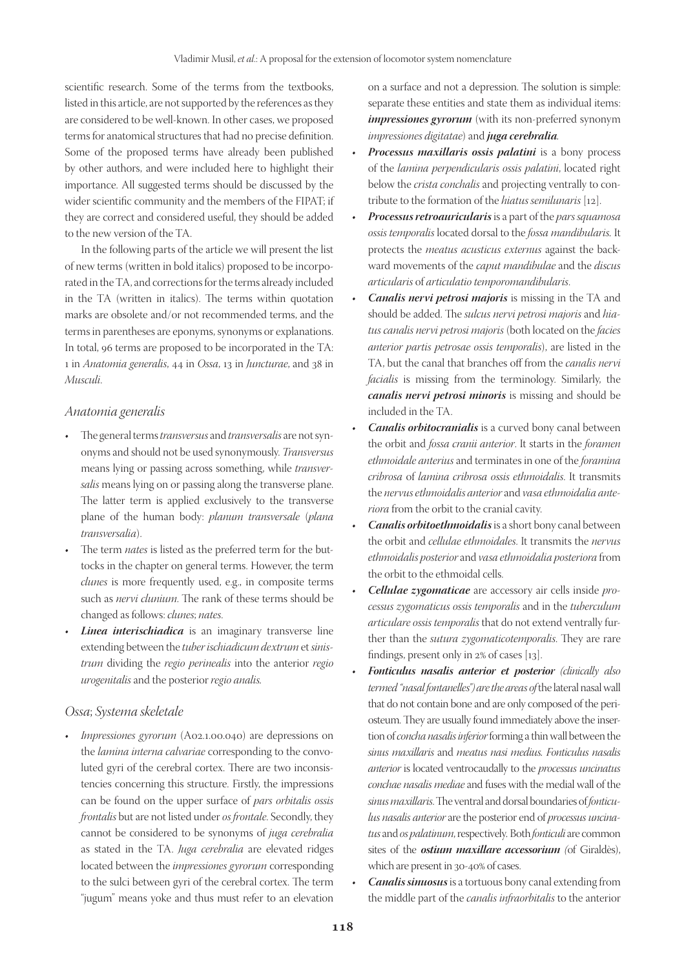scientific research. Some of the terms from the textbooks, listed in this article, are not supported by the references as they are considered to be well-known. In other cases, we proposed terms for anatomical structures that had no precise definition. Some of the proposed terms have already been published by other authors, and were included here to highlight their importance. All suggested terms should be discussed by the wider scientific community and the members of the FIPAT; if they are correct and considered useful, they should be added to the new version of the TA.

In the following parts of the article we will present the list of new terms (written in bold italics) proposed to be incorporated in the TA, and corrections for the terms already included in the TA (written in italics). The terms within quotation marks are obsolete and/or not recommended terms, and the terms in parentheses are eponyms, synonyms or explanations. In total, 96 terms are proposed to be incorporated in the TA: 1 in *Anatomia generalis*, 44 in *Ossa*, 13 in *Juncturae*, and 38 in *Musculi*.

#### *Anatomia generalis*

- The general terms *transversus* and *transversalis* are not synonyms and should not be used synonymously. *Transversus*  means lying or passing across something, while *transversalis* means lying on or passing along the transverse plane. The latter term is applied exclusively to the transverse plane of the human body: *planum transversale* (*plana transversalia*).
- The term *nates* is listed as the preferred term for the buttocks in the chapter on general terms. However, the term *clunes* is more frequently used, e.g., in composite terms such as *nervi clunium*. The rank of these terms should be changed as follows: *clunes*; *nates*.
- *Linea interischiadica* is an imaginary transverse line extending between the *tuber ischiadicum dextrum* et *sinistrum* dividing the *regio perinealis* into the anterior *regio urogenitalis* and the posterior *regio analis.*

#### *Ossa*; *Systema skeletale*

*Impressiones gyrorum* (A02.1.00.040) are depressions on the *lamina interna calvariae* corresponding to the convoluted gyri of the cerebral cortex. There are two inconsistencies concerning this structure. Firstly, the impressions can be found on the upper surface of *pars orbitalis ossis frontalis* but are not listed under *os frontale*. Secondly, they cannot be considered to be synonyms of *juga cerebralia* as stated in the TA. *Juga cerebralia* are elevated ridges located between the *impressiones gyrorum* corresponding to the sulci between gyri of the cerebral cortex. The term "jugum" means yoke and thus must refer to an elevation

on a surface and not a depression. The solution is simple: separate these entities and state them as individual items: *impressiones gyrorum* (with its non-preferred synonym *impressiones digitatae*) and *juga cerebralia.*

- *Processus maxillaris ossis palatini* is a bony process of the *lamina perpendicularis ossis palatini*, located right below the *crista conchalis* and projecting ventrally to contribute to the formation of the *hiatus semilunaris* [12].
- *Processus retroauricularis* is a part of the *pars squamosa ossis temporalis* located dorsal to the *fossa mandibularis.* It protects the *meatus acusticus externus* against the backward movements of the *caput mandibulae* and the *discus articularis* of *articulatio temporomandibularis*.
- *Canalis nervi petrosi majoris* is missing in the TA and should be added. The *sulcus nervi petrosi majoris* and *hiatus canalis nervi petrosi majoris* (both located on the *facies anterior partis petrosae ossis temporalis*), are listed in the TA, but the canal that branches off from the *canalis nervi facialis* is missing from the terminology. Similarly, the *canalis nervi petrosi minoris* is missing and should be included in the TA.
- Canalis orbitocranialis is a curved bony canal between the orbit and *fossa cranii anterior*. It starts in the *foramen ethmoidale anterius* and terminates in one of the *foramina cribrosa* of *lamina cribrosa ossis ethmoidalis*. It transmits the *nervus ethmoidalis anterior* and *vasa ethmoidalia anteriora* from the orbit to the cranial cavity.
- *Canalis orbitoethmoidalis* is a short bony canal between the orbit and *cellulae ethmoidales*. It transmits the *nervus ethmoidalis posterior* and *vasa ethmoidalia posteriora* from the orbit to the ethmoidal cells.
- *Cellulae zygomaticae* are accessory air cells inside *processus zygomaticus ossis temporalis* and in the *tuberculum articulare ossis temporalis* that do not extend ventrally further than the *sutura zygomaticotemporalis*. They are rare findings, present only in 2% of cases [13].
- • *Fonticulus nasalis anterior et posterior (clinically also termed "nasal fontanelles") are the areas of* the lateral nasal wall that do not contain bone and are only composed of the periosteum. They are usually found immediately above the insertion of *concha nasalis inferior* forming a thin wall between the *sinus maxillaris* and *meatus nasi medius. Fonticulus nasalis anterior* is located ventrocaudally to the *processus uncinatus conchae nasalis mediae* and fuses with the medial wall of the *sinus maxillaris*. The ventral and dorsal boundaries of *fonticulus nasalis anterior* are the posterior end of *processus uncinatus* and *os palatinum*, respectively*.* Both *fonticuli* are common sites of the *ostium maxillare accessorium (*of Giraldès), which are present in 30-40% of cases.
- *Canalis sinuosus* is a tortuous bony canal extending from the middle part of the *canalis infraorbitalis* to the anterior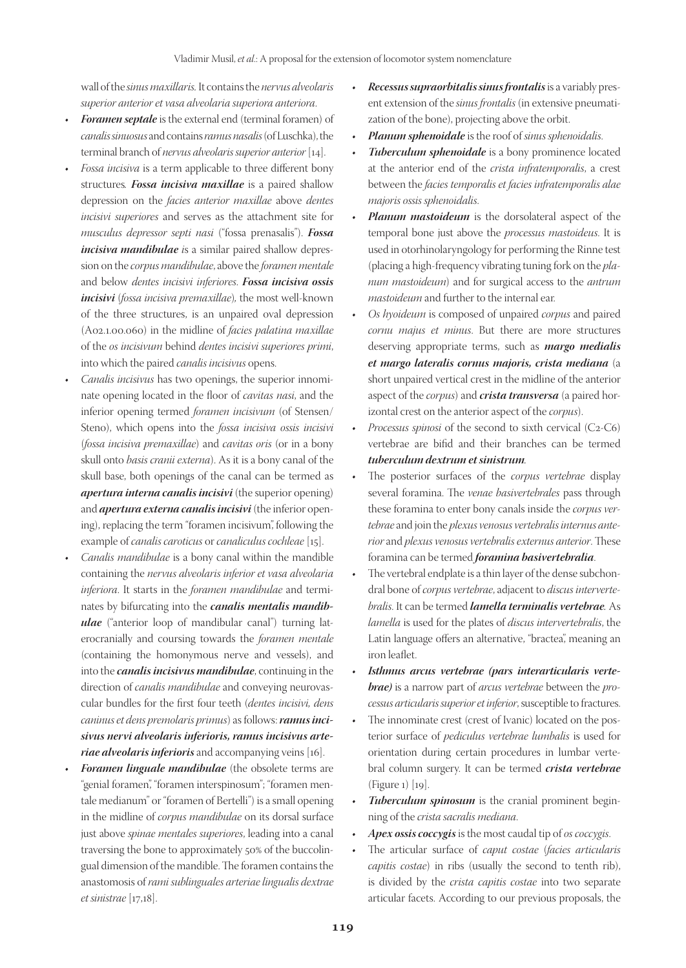wall of the *sinus maxillaris.* It contains the *nervus alveolaris superior anterior et vasa alveolaria superiora anteriora*.

- **Foramen septale** is the external end (terminal foramen) of *canalis sinuosus* and contains *ramus nasalis* (of Luschka), the terminal branch of *nervus alveolaris superior anterior* [14].
- *Fossa incisiva* is a term applicable to three different bony structures*. Fossa incisiva maxillae* is a paired shallow depression on the *facies anterior maxillae* above *dentes incisivi superiores* and serves as the attachment site for *musculus depressor septi nasi* ("fossa prenasalis"). *Fossa incisiva mandibulae is* a similar paired shallow depression on the *corpus mandibulae*, above the *foramen mentale*  and below *dentes incisivi inferiores*. *Fossa incisiva ossis incisivi* (*fossa incisiva premaxillae*)*,* the most well-known of the three structures, is an unpaired oval depression (A02.1.00.060) in the midline of *facies palatina maxillae*  of the *os incisivum* behind *dentes incisivi superiores primi*, into which the paired *canalis incisivus* opens.
- *Canalis incisivus* has two openings, the superior innominate opening located in the floor of *cavitas nasi*, and the inferior opening termed *foramen incisivum* (of Stensen/ Steno), which opens into the *fossa incisiva ossis incisivi* (*fossa incisiva premaxillae*) and *cavitas oris* (or in a bony skull onto *basis cranii externa*). As it is a bony canal of the skull base, both openings of the canal can be termed as *apertura interna canalis incisivi* (the superior opening) and *apertura externa canalis incisivi* (the inferior opening), replacing the term "foramen incisivum", following the example of *canalis caroticus* or *canaliculus cochleae* [15].
- Canalis mandibulae is a bony canal within the mandible containing the *nervus alveolaris inferior et vasa alveolaria inferiora*. It starts in the *foramen mandibulae* and terminates by bifurcating into the *canalis mentalis mandibulae* ("anterior loop of mandibular canal") turning laterocranially and coursing towards the *foramen mentale*  (containing the homonymous nerve and vessels), and into the *canalis incisivus mandibulae*, continuing in the direction of *canalis mandibulae* and conveying neurovascular bundles for the first four teeth (*dentes incisivi, dens caninus et dens premolaris primus*) as follows: *ramus incisivus nervi alveolaris inferioris, ramus incisivus arteriae alveolaris inferioris* and accompanying veins [16].
- **Foramen linguale mandibulae** (the obsolete terms are "genial foramen", "foramen interspinosum"; "foramen mentale medianum" or "foramen of Bertelli") is a small opening in the midline of *corpus mandibulae* on its dorsal surface just above *spinae mentales superiores*, leading into a canal traversing the bone to approximately 50% of the buccolingual dimension of the mandible. The foramen contains the anastomosis of *rami sublinguales arteriae lingualis dextrae et sinistrae* [17,18].
- *Recessus supraorbitalis sinus frontalis* is a variably present extension of the *sinus frontalis* (in extensive pneumatization of the bone), projecting above the orbit.
- *Planum sphenoidale* is the roof of *sinus sphenoidalis*.
- **Tuberculum sphenoidale** is a bony prominence located at the anterior end of the *crista infratemporalis*, a crest between the *facies temporalis et facies infratemporalis alae majoris ossis sphenoidalis*.
- *Planum mastoideum* is the dorsolateral aspect of the temporal bone just above the *processus mastoideus*. It is used in otorhinolaryngology for performing the Rinne test (placing a high-frequency vibrating tuning fork on the *planum mastoideum*) and for surgical access to the *antrum mastoideum* and further to the internal ear.
- Os hyoideum is composed of unpaired *corpus* and paired *cornu majus et minus*. But there are more structures deserving appropriate terms, such as *margo medialis et margo lateralis cornus majoris, crista mediana* (a short unpaired vertical crest in the midline of the anterior aspect of the *corpus*) and *crista transversa* (a paired horizontal crest on the anterior aspect of the *corpus*).
- *Processus spinosi* of the second to sixth cervical (C<sub>2</sub>-C<sub>6</sub>) vertebrae are bifid and their branches can be termed *tuberculum dextrum et sinistrum.*
- The posterior surfaces of the *corpus vertebrae* display several foramina. The *venae basivertebrales* pass through these foramina to enter bony canals inside the *corpus vertebrae* and join the *plexus venosus vertebralis internus anterior* and *plexus venosus vertebralis externus anterior*. These foramina can be termed *foramina basivertebralia*.
- The vertebral endplate is a thin layer of the dense subchondral bone of *corpus vertebrae*, adjacent to *discus intervertebralis*. It can be termed *lamella terminalis vertebrae.* As *lamella* is used for the plates of *discus intervertebralis*, the Latin language offers an alternative, "bractea", meaning an iron leaflet.
- Isthmus arcus vertebrae (pars interarticularis verte*brae)* is a narrow part of *arcus vertebrae* between the *processus articularis superior et inferior*,susceptible to fractures.
- The innominate crest (crest of Ivanic) located on the posterior surface of *pediculus vertebrae lumbalis* is used for orientation during certain procedures in lumbar vertebral column surgery. It can be termed *crista vertebrae* (Figure 1) [19].
- **Tuberculum spinosum** is the cranial prominent beginning of the *crista sacralis mediana*.
- • *Apex ossis coccygis* is the most caudal tip of *os coccygis*.
- The articular surface of *caput costae* (*facies articularis capitis costae*) in ribs (usually the second to tenth rib), is divided by the *crista capitis costae* into two separate articular facets. According to our previous proposals, the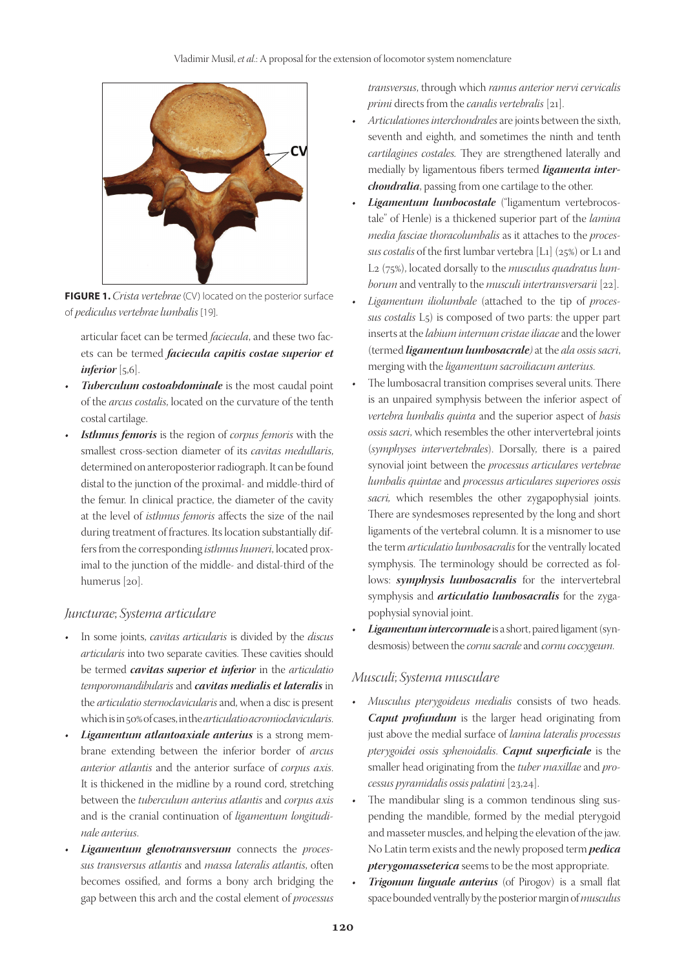

**FIGURE 1.** *Crista vertebrae* (CV) located on the posterior surface of *pediculus vertebrae lumbalis* [19].

articular facet can be termed *faciecula*, and these two facets can be termed *faciecula capitis costae superior et inferior* [5,6].

- **Tuberculum costoabdominale** is the most caudal point of the *arcus costalis*, located on the curvature of the tenth costal cartilage.
- **Isthmus femoris** is the region of *corpus femoris* with the smallest cross-section diameter of its *cavitas medullaris*, determined on anteroposterior radiograph. It can be found distal to the junction of the proximal- and middle-third of the femur. In clinical practice, the diameter of the cavity at the level of *isthmus femoris* affects the size of the nail during treatment of fractures. Its location substantially differs from the corresponding *isthmus humeri*, located proximal to the junction of the middle- and distal-third of the humerus [20].

#### *Juncturae*; *Systema articulare*

- In some joints, *cavitas articularis* is divided by the *discus articularis* into two separate cavities. These cavities should be termed *cavitas superior et inferior* in the *articulatio temporomandibularis* and *cavitas medialis et lateralis* in the *articulatio sternoclavicularis* and, when a disc is present which is in 50% of cases, in the *articulatio acromioclavicularis*.
- *Ligamentum atlantoaxiale anterius* is a strong membrane extending between the inferior border of *arcus anterior atlantis* and the anterior surface of *corpus axis*. It is thickened in the midline by a round cord, stretching between the *tuberculum anterius atlantis* and *corpus axis*  and is the cranial continuation of *ligamentum longitudinale anterius*.
- Ligamentum glenotransversum connects the *processus transversus atlantis* and *massa lateralis atlantis*, often becomes ossified, and forms a bony arch bridging the gap between this arch and the costal element of *processus*

*transversus*, through which *ramus anterior nervi cervicalis primi* directs from the *canalis vertebralis* [21].

- • *Articulationes interchondrales* are joints between the sixth, seventh and eighth, and sometimes the ninth and tenth *cartilagines costales.* They are strengthened laterally and medially by ligamentous fibers termed *ligamenta interchondralia*, passing from one cartilage to the other.
- Ligamentum lumbocostale ("ligamentum vertebrocostale" of Henle) is a thickened superior part of the *lamina media fasciae thoracolumbalis* as it attaches to the *processus costalis* of the first lumbar vertebra [L1] (25%) or L1 and L2 (75%), located dorsally to the *musculus quadratus lumborum* and ventrally to the *musculi intertransversarii* [22].
- Ligamentum iliolumbale (attached to the tip of *processus costalis* L5) is composed of two parts: the upper part inserts at the *labium internum cristae iliacae* and the lower (termed *ligamentum lumbosacrale)* at the *ala ossis sacri*, merging with the *ligamentum sacroiliacum anterius*.
- The lumbosacral transition comprises several units. There is an unpaired symphysis between the inferior aspect of *vertebra lumbalis quinta* and the superior aspect of *basis ossis sacri*, which resembles the other intervertebral joints (*symphyses intervertebrales*). Dorsally, there is a paired synovial joint between the *processus articulares vertebrae lumbalis quintae* and *processus articulares superiores ossis sacri,* which resembles the other zygapophysial joints. There are syndesmoses represented by the long and short ligaments of the vertebral column. It is a misnomer to use the term *articulatio lumbosacralis* for the ventrally located symphysis. The terminology should be corrected as follows: *symphysis lumbosacralis* for the intervertebral symphysis and *articulatio lumbosacralis* for the zygapophysial synovial joint.
- *Ligamentum intercornuale* is a short, paired ligament (syndesmosis) between the *cornu sacrale* and *cornu coccygeum*.

#### *Musculi*; *Systema musculare*

- • *Musculus pterygoideus medialis* consists of two heads. *Caput profundum* is the larger head originating from just above the medial surface of *lamina lateralis processus pterygoidei ossis sphenoidalis*. *Caput superficiale* is the smaller head originating from the *tuber maxillae* and *processus pyramidalis ossis palatini* [23,24].
- The mandibular sling is a common tendinous sling suspending the mandible, formed by the medial pterygoid and masseter muscles, and helping the elevation of the jaw. No Latin term exists and the newly proposed term *pedica pterygomasseterica* seems to be the most appropriate.
- **Trigonum linguale anterius** (of Pirogov) is a small flat space bounded ventrally by the posterior margin of *musculus*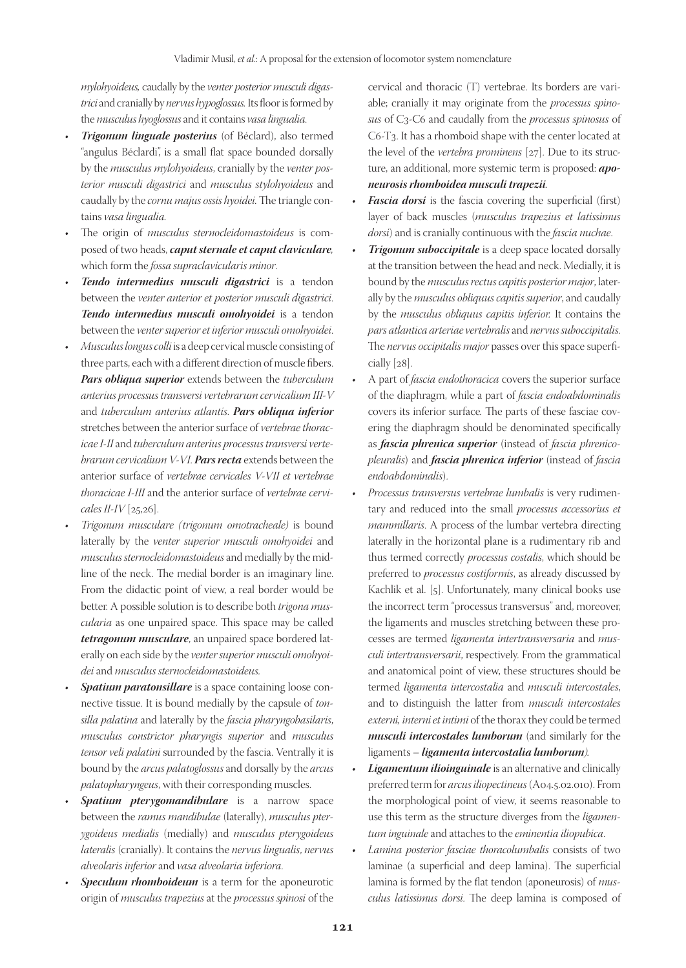*mylohyoideus,* caudally by the *venter posterior musculi digastrici* and cranially by *nervus hypoglossus.* Its floor is formed by the *musculus hyoglossus* and it contains *vasa lingualia*.

- *Trigonum linguale posterius* (of Béclard), also termed "angulus Béclardi", is a small flat space bounded dorsally by the *musculus mylohyoideus*, cranially by the *venter posterior musculi digastrici* and *musculus stylohyoideus* and caudally by the *cornu majus ossis hyoidei.* The triangle contains *vasa lingualia.*
- The origin of *musculus sternocleidomastoideus* is composed of two heads, *caput sternale et caput claviculare,*  which form the *fossa supraclavicularis minor*.
- Tendo intermedius musculi digastrici is a tendon between the *venter anterior et posterior musculi digastrici*. *Tendo intermedius musculi omohyoidei* is a tendon between the *venter superior et inferior musculi omohyoidei*.
- Musculus longus colli is a deep cervical muscle consisting of three parts, each with a different direction of muscle fibers. *Pars obliqua superior* extends between the *tuberculum anterius processus transversi vertebrarum cervicalium III-V* and *tuberculum anterius atlantis*. *Pars obliqua inferior* stretches between the anterior surface of *vertebrae thoracicae I-II* and *tuberculum anterius processus transversi vertebrarum cervicalium V-VI*. *Pars recta* extends between the anterior surface of *vertebrae cervicales V-VII et vertebrae thoracicae I-III* and the anterior surface of *vertebrae cervicales II-IV* [25,26].
- Trigonum musculare (trigonum omotracheale) is bound laterally by the *venter superior musculi omohyoidei* and *musculus sternocleidomastoideus* and medially by the midline of the neck. The medial border is an imaginary line. From the didactic point of view, a real border would be better. A possible solution is to describe both *trigona muscularia* as one unpaired space. This space may be called *tetragonum musculare*, an unpaired space bordered laterally on each side by the *venter superior musculi omohyoidei* and *musculus sternocleidomastoideus.*
- *Spatium paratonsillare* is a space containing loose connective tissue. It is bound medially by the capsule of *tonsilla palatina* and laterally by the *fascia pharyngobasilaris*, *musculus constrictor pharyngis superior* and *musculus tensor veli palatini* surrounded by the fascia. Ventrally it is bound by the *arcus palatoglossus* and dorsally by the *arcus palatopharyngeus*, with their corresponding muscles.
- **Spatium pterygomandibulare** is a narrow space between the *ramus mandibulae* (laterally), *musculus pterygoideus medialis* (medially) and *musculus pterygoideus lateralis* (cranially). It contains the *nervus lingualis*, *nervus alveolaris inferior* and *vasa alveolaria inferiora*.
- **Speculum rhomboideum** is a term for the aponeurotic origin of *musculus trapezius* at the *processus spinosi* of the

cervical and thoracic (T) vertebrae. Its borders are variable; cranially it may originate from the *processus spinosus* of C3-C6 and caudally from the *processus spinosus* of C6-T3. It has a rhomboid shape with the center located at the level of the *vertebra prominens* [27]. Due to its structure, an additional, more systemic term is proposed: *aponeurosis rhomboidea musculi trapezii.*

- **Fascia dorsi** is the fascia covering the superficial (first) layer of back muscles (*musculus trapezius et latissimus dorsi*) and is cranially continuous with the *fascia nuchae*.
- **Trigonum suboccipitale** is a deep space located dorsally at the transition between the head and neck. Medially, it is bound by the *musculus rectus capitis posterior major*, laterally by the *musculus obliquus capitis superior*, and caudally by the *musculus obliquus capitis inferior.* It contains the *pars atlantica arteriae vertebralis* and *nervus suboccipitalis*. The *nervus occipitalis major* passes over this space superficially [28].
- A part of *fascia endothoracica* covers the superior surface of the diaphragm, while a part of *fascia endoabdominalis* covers its inferior surface*.* The parts of these fasciae covering the diaphragm should be denominated specifically as *fascia phrenica superior* (instead of *fascia phrenicopleuralis*) and *fascia phrenica inferior* (instead of *fascia endoabdominalis*).
- Processus transversus vertebrae lumbalis is very rudimentary and reduced into the small *processus accessorius et mammillaris*. A process of the lumbar vertebra directing laterally in the horizontal plane is a rudimentary rib and thus termed correctly *processus costalis*, which should be preferred to *processus costiformis*, as already discussed by Kachlik et al. [5]. Unfortunately, many clinical books use the incorrect term "processus transversus" and, moreover, the ligaments and muscles stretching between these processes are termed *ligamenta intertransversaria* and *musculi intertransversarii*, respectively. From the grammatical and anatomical point of view, these structures should be termed *ligamenta intercostalia* and *musculi intercostales*, and to distinguish the latter from *musculi intercostales externi, interni et intimi* of the thorax they could be termed *musculi intercostales lumborum* (and similarly for the ligaments – *ligamenta intercostalia lumborum).*
- **Ligamentum ilioinguinale** is an alternative and clinically preferred term for *arcus iliopectineus* (A04.5.02.010). From the morphological point of view, it seems reasonable to use this term as the structure diverges from the *ligamentum inguinale* and attaches to the *eminentia iliopubica*.
- Lamina posterior fasciae thoracolumbalis consists of two laminae (a superficial and deep lamina). The superficial lamina is formed by the flat tendon (aponeurosis) of *musculus latissimus dorsi*. The deep lamina is composed of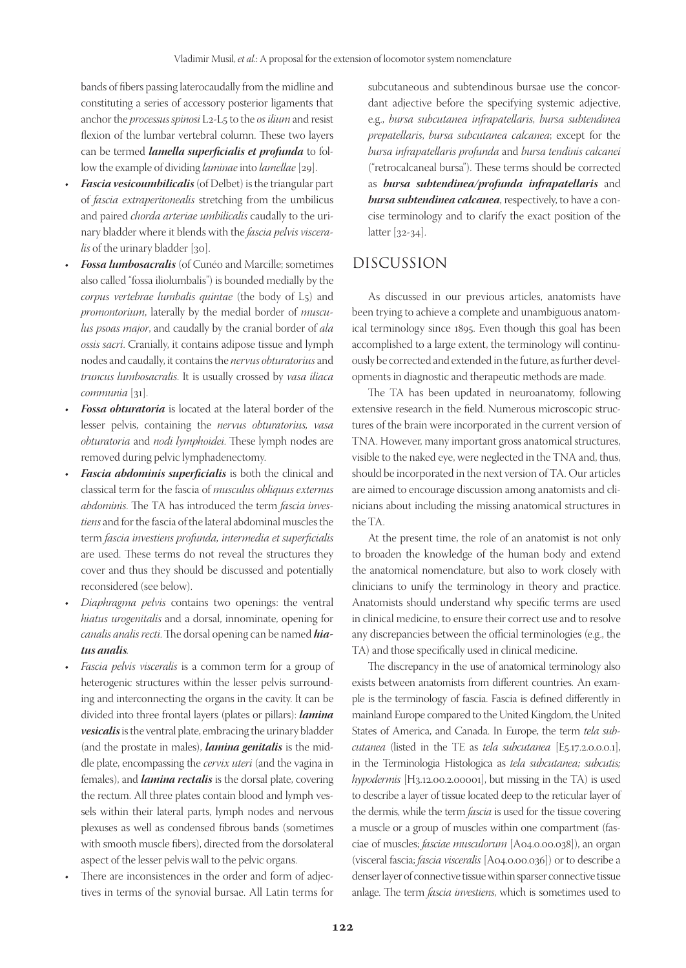bands of fibers passing laterocaudally from the midline and constituting a series of accessory posterior ligaments that anchor the *processus spinosi* L2-L5 to the *os ilium* and resist flexion of the lumbar vertebral column. These two layers can be termed *lamella superficialis et profunda* to follow the example of dividing *laminae* into *lamellae* [29].

- *Fascia vesicoumbilicalis* (of Delbet) is the triangular part of *fascia extraperitonealis* stretching from the umbilicus and paired *chorda arteriae umbilicalis* caudally to the urinary bladder where it blends with the *fascia pelvis visceralis* of the urinary bladder [30].
- **Fossa lumbosacralis** (of Cunéo and Marcille; sometimes also called "fossa iliolumbalis") is bounded medially by the *corpus vertebrae lumbalis quintae* (the body of L5) and *promontorium*, laterally by the medial border of *musculus psoas major*, and caudally by the cranial border of *ala ossis sacri*. Cranially, it contains adipose tissue and lymph nodes and caudally, it contains the *nervus obturatorius* and *truncus lumbosacralis*. It is usually crossed by *vasa iliaca communia* [31].
- Fossa obturatoria is located at the lateral border of the lesser pelvis, containing the *nervus obturatorius, vasa obturatoria* and *nodi lymphoidei*. These lymph nodes are removed during pelvic lymphadenectomy.
- *Fascia abdominis superficialis* is both the clinical and classical term for the fascia of *musculus obliquus externus abdominis*. The TA has introduced the term *fascia investiens* and for the fascia of the lateral abdominal muscles the term *fascia investiens profunda, intermedia et superficialis* are used. These terms do not reveal the structures they cover and thus they should be discussed and potentially reconsidered (see below).
- Diaphragma pelvis contains two openings: the ventral *hiatus urogenitalis* and a dorsal, innominate, opening for *canalis analis recti*. The dorsal opening can be named *hiatus analis.*
- *Fascia pelvis visceralis* is a common term for a group of heterogenic structures within the lesser pelvis surrounding and interconnecting the organs in the cavity. It can be divided into three frontal layers (plates or pillars): *lamina vesicalis*is the ventral plate, embracing the urinary bladder (and the prostate in males), *lamina genitalis* is the middle plate, encompassing the *cervix uteri* (and the vagina in females), and *lamina rectalis* is the dorsal plate, covering the rectum. All three plates contain blood and lymph vessels within their lateral parts, lymph nodes and nervous plexuses as well as condensed fibrous bands (sometimes with smooth muscle fibers), directed from the dorsolateral aspect of the lesser pelvis wall to the pelvic organs.
- There are inconsistences in the order and form of adjectives in terms of the synovial bursae. All Latin terms for

subcutaneous and subtendinous bursae use the concordant adjective before the specifying systemic adjective, e.g., *bursa subcutanea infrapatellaris*, *bursa subtendinea prepatellaris*, *bursa subcutanea calcanea*; except for the *bursa infrapatellaris profunda* and *bursa tendinis calcanei*  ("retrocalcaneal bursa"). These terms should be corrected as *bursa subtendinea/profunda infrapatellaris* and *bursa subtendinea calcanea*, respectively, to have a concise terminology and to clarify the exact position of the latter [32-34].

## DISCUSSION

As discussed in our previous articles, anatomists have been trying to achieve a complete and unambiguous anatomical terminology since 1895. Even though this goal has been accomplished to a large extent, the terminology will continuously be corrected and extended in the future, as further developments in diagnostic and therapeutic methods are made.

The TA has been updated in neuroanatomy, following extensive research in the field. Numerous microscopic structures of the brain were incorporated in the current version of TNA. However, many important gross anatomical structures, visible to the naked eye, were neglected in the TNA and, thus, should be incorporated in the next version of TA. Our articles are aimed to encourage discussion among anatomists and clinicians about including the missing anatomical structures in the TA.

At the present time, the role of an anatomist is not only to broaden the knowledge of the human body and extend the anatomical nomenclature, but also to work closely with clinicians to unify the terminology in theory and practice. Anatomists should understand why specific terms are used in clinical medicine, to ensure their correct use and to resolve any discrepancies between the official terminologies (e.g., the TA) and those specifically used in clinical medicine.

The discrepancy in the use of anatomical terminology also exists between anatomists from different countries. An example is the terminology of fascia. Fascia is defined differently in mainland Europe compared to the United Kingdom, the United States of America, and Canada. In Europe, the term *tela subcutanea* (listed in the TE as *tela subcutanea* [E5.17.2.0.0.0.1], in the Terminologia Histologica as *tela subcutanea; subcutis; hypodermis* [H3.12.00.2.00001], but missing in the TA) is used to describe a layer of tissue located deep to the reticular layer of the dermis, while the term *fascia* is used for the tissue covering a muscle or a group of muscles within one compartment (fasciae of muscles; *fasciae musculorum* [A04.0.00.038]), an organ (visceral fascia; *fascia visceralis* [A04.0.00.036]) or to describe a denser layer of connective tissue within sparser connective tissue anlage. The term *fascia investiens*, which is sometimes used to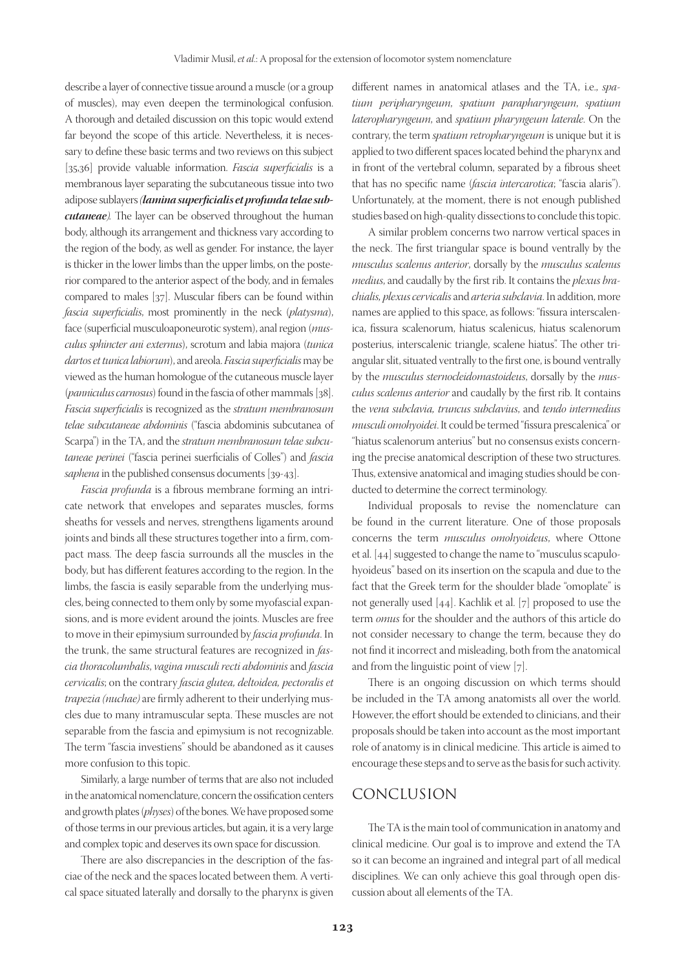describe a layer of connective tissue around a muscle (or a group of muscles), may even deepen the terminological confusion. A thorough and detailed discussion on this topic would extend far beyond the scope of this article. Nevertheless, it is necessary to define these basic terms and two reviews on this subject [35,36] provide valuable information. *Fascia superficialis* is a membranous layer separating the subcutaneous tissue into two adipose sublayers *(lamina superficialis et profunda telae subcutaneae).* The layer can be observed throughout the human body, although its arrangement and thickness vary according to the region of the body, as well as gender. For instance, the layer is thicker in the lower limbs than the upper limbs, on the posterior compared to the anterior aspect of the body, and in females compared to males [37]. Muscular fibers can be found within *fascia superficialis*, most prominently in the neck (*platysma*), face (superficial musculoaponeurotic system), anal region (*musculus sphincter ani externus*), scrotum and labia majora (*tunica dartos et tunica labiorum*), and areola. *Fascia superficialis* may be viewed as the human homologue of the cutaneous muscle layer (*panniculus carnosus*) found in the fascia of other mammals [38]. *Fascia superficialis* is recognized as the *stratum membranosum telae subcutaneae abdominis* ("fascia abdominis subcutanea of Scarpa") in the TA, and the *stratum membranosum telae subcutaneae perinei* ("fascia perinei suerficialis of Colles") and *fascia saphena* in the published consensus documents [39-43].

*Fascia profunda* is a fibrous membrane forming an intricate network that envelopes and separates muscles, forms sheaths for vessels and nerves, strengthens ligaments around joints and binds all these structures together into a firm, compact mass. The deep fascia surrounds all the muscles in the body, but has different features according to the region. In the limbs, the fascia is easily separable from the underlying muscles, being connected to them only by some myofascial expansions, and is more evident around the joints. Muscles are free to move in their epimysium surrounded by *fascia profunda*. In the trunk, the same structural features are recognized in *fascia thoracolumbalis*, *vagina musculi recti abdominis* and *fascia cervicalis*; on the contrary *fascia glutea, deltoidea, pectoralis et trapezia (nuchae)* are firmly adherent to their underlying muscles due to many intramuscular septa. These muscles are not separable from the fascia and epimysium is not recognizable. The term "fascia investiens" should be abandoned as it causes more confusion to this topic.

Similarly, a large number of terms that are also not included in the anatomical nomenclature, concern the ossification centers and growth plates (*physes*) of the bones. We have proposed some of those terms in our previous articles, but again, it is a very large and complex topic and deserves its own space for discussion.

There are also discrepancies in the description of the fasciae of the neck and the spaces located between them. A vertical space situated laterally and dorsally to the pharynx is given different names in anatomical atlases and the TA, i.e., *spatium peripharyngeum*, *spatium parapharyngeum*, *spatium lateropharyngeum*, and *spatium pharyngeum laterale*. On the contrary, the term *spatium retropharyngeum* is unique but it is applied to two different spaces located behind the pharynx and in front of the vertebral column, separated by a fibrous sheet that has no specific name (*fascia intercarotica*; "fascia alaris"). Unfortunately, at the moment, there is not enough published studies based on high-quality dissections to conclude this topic.

A similar problem concerns two narrow vertical spaces in the neck. The first triangular space is bound ventrally by the *musculus scalenus anterior*, dorsally by the *musculus scalenus medius*, and caudally by the first rib. It contains the *plexus brachialis, plexus cervicalis* and *arteria subclavia*. In addition, more names are applied to this space, as follows: "fissura interscalenica, fissura scalenorum, hiatus scalenicus, hiatus scalenorum posterius, interscalenic triangle, scalene hiatus". The other triangular slit, situated ventrally to the first one, is bound ventrally by the *musculus sternocleidomastoideus*, dorsally by the *musculus scalenus anterior* and caudally by the first rib. It contains the *vena subclavia, truncus subclavius*, and *tendo intermedius musculi omohyoidei*. It could be termed "fissura prescalenica" or "hiatus scalenorum anterius" but no consensus exists concerning the precise anatomical description of these two structures. Thus, extensive anatomical and imaging studies should be conducted to determine the correct terminology.

Individual proposals to revise the nomenclature can be found in the current literature. One of those proposals concerns the term *musculus omohyoideus*, where Ottone et al. [44] suggested to change the name to "musculus scapulohyoideus" based on its insertion on the scapula and due to the fact that the Greek term for the shoulder blade "omoplate" is not generally used [44]. Kachlik et al. [7] proposed to use the term *omus* for the shoulder and the authors of this article do not consider necessary to change the term, because they do not find it incorrect and misleading, both from the anatomical and from the linguistic point of view [7].

There is an ongoing discussion on which terms should be included in the TA among anatomists all over the world. However, the effort should be extended to clinicians, and their proposals should be taken into account as the most important role of anatomy is in clinical medicine. This article is aimed to encourage these steps and to serve as the basis for such activity.

### CONCLUSION

The TA is the main tool of communication in anatomy and clinical medicine. Our goal is to improve and extend the TA so it can become an ingrained and integral part of all medical disciplines. We can only achieve this goal through open discussion about all elements of the TA.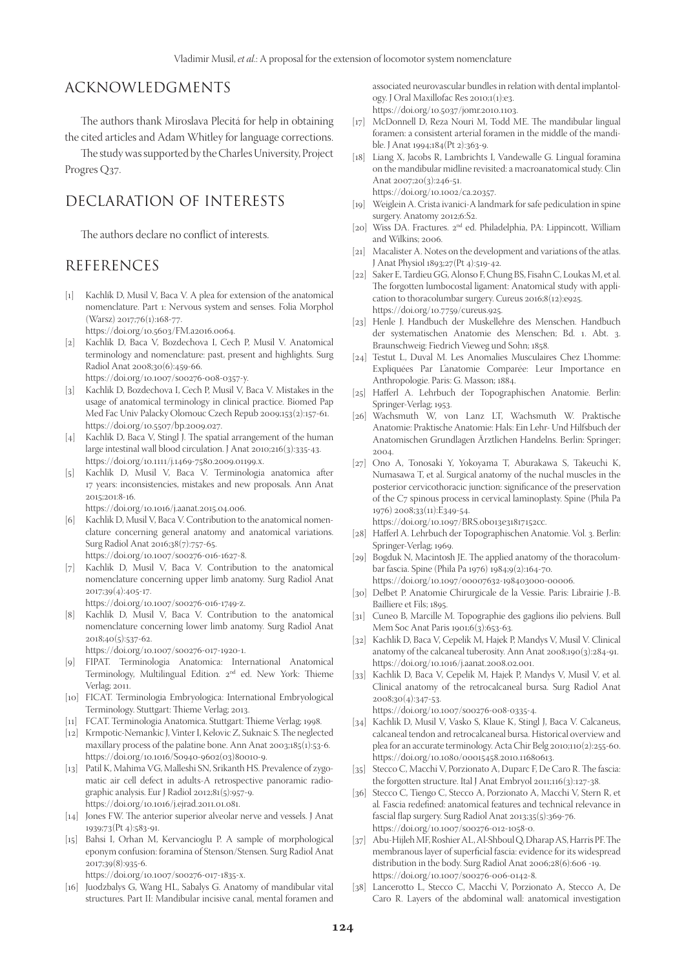## ACKNOWLEDGMENTS

The authors thank Miroslava Plecitá for help in obtaining the cited articles and Adam Whitley for language corrections.

The study was supported by the Charles University, Project Progres Q37.

## DECLARATION OF INTERESTS

The authors declare no conflict of interests.

## REFERENCES

- [1] Kachlík D, Musil V, Baca V. A plea for extension of the anatomical nomenclature. Part 1: Nervous system and senses. Folia Morphol (Warsz) 2017;76(1):168-77. https://doi.org/10.5603/FM.a2016.0064.
- [2] Kachlik D, Baca V, Bozdechova I, Cech P, Musil V. Anatomical terminology and nomenclature: past, present and highlights. Surg Radiol Anat 2008;30(6):459-66. https://doi.org/10.1007/s00276-008-0357-y.
- [3] Kachlik D, Bozdechova I, Cech P, Musil V, Baca V. Mistakes in the usage of anatomical terminology in clinical practice. Biomed Pap Med Fac Univ Palacky Olomouc Czech Repub 2009;153(2):157-61. https://doi.org/10.5507/bp.2009.027.
- [4] Kachlik D, Baca V, Stingl J. The spatial arrangement of the human large intestinal wall blood circulation. J Anat 2010;216(3):335-43. https://doi.org/10.1111/j.1469-7580.2009.01199.x.
- [5] Kachlik D, Musil V, Baca V. Terminologia anatomica after 17 years: inconsistencies, mistakes and new proposals. Ann Anat 2015;201:8-16.

https://doi.org/10.1016/j.aanat.2015.04.006.

- [6] Kachlik D, Musil V, Baca V. Contribution to the anatomical nomenclature concerning general anatomy and anatomical variations. Surg Radiol Anat 2016;38(7):757-65. https://doi.org/10.1007/s00276-016-1627-8.
- [7] Kachlik D, Musil V, Baca V. Contribution to the anatomical nomenclature concerning upper limb anatomy. Surg Radiol Anat  $2017:39(4):405-17.$

https://doi.org/10.1007/s00276-016-1749-z.

[8] Kachlik D, Musil V, Baca V. Contribution to the anatomical nomenclature concerning lower limb anatomy. Surg Radiol Anat 2018;40(5):537-62.

https://doi.org/10.1007/s00276-017-1920-1.

- [9] FIPAT. Terminologia Anatomica: International Anatomical Terminology, Multilingual Edition. 2<sup>nd</sup> ed. New York: Thieme Verlag; 2011.
- [10] FICAT. Terminologia Embryologica: International Embryological Terminology. Stuttgart: Thieme Verlag; 2013.
- [11] FCAT. Terminologia Anatomica. Stuttgart: Thieme Verlag; 1998.
- [12] Krmpotic-Nemankic J, Vinter I, Kelovic Z, Suknaic S. The neglected maxillary process of the palatine bone. Ann Anat 2003;185(1):53-6. https://doi.org/10.1016/S0940-9602(03)80010-9.
- [13] Patil K, Mahima VG, Malleshi SN, Srikanth HS. Prevalence of zygomatic air cell defect in adults-A retrospective panoramic radiographic analysis. Eur J Radiol 2012;81(5):957-9. https://doi.org/10.1016/j.ejrad.2011.01.081.
- [14] Jones FW. The anterior superior alveolar nerve and vessels. J Anat 1939;73(Pt 4):583-91.
- [15] Bahsi I, Orhan M, Kervancioglu P. A sample of morphological eponym confusion: foramina of Stenson/Stensen. Surg Radiol Anat 2017;39(8):935-6.

https://doi.org/10.1007/s00276-017-1835-x.

[16] Juodzbalys G, Wang HL, Sabalys G. Anatomy of mandibular vital structures. Part II: Mandibular incisive canal, mental foramen and associated neurovascular bundles in relation with dental implantology. J Oral Maxillofac Res 2010;1(1):e3. https://doi.org/10.5037/jomr.2010.1103.

- [17] McDonnell D, Reza Nouri M, Todd ME. The mandibular lingual foramen: a consistent arterial foramen in the middle of the mandible. J Anat 1994;184(Pt 2):363-9.
- [18] Liang X, Jacobs R, Lambrichts I, Vandewalle G. Lingual foramina on the mandibular midline revisited: a macroanatomical study. Clin Anat 2007;20(3):246-51. https://doi.org/10.1002/ca.20357.
- [19] Weiglein A. Crista ivanici-A landmark for safe pediculation in spine surgery. Anatomy 2012;6:S2.
- [20] Wiss DA. Fractures. 2<sup>nd</sup> ed. Philadelphia, PA: Lippincott, William and Wilkins; 2006.
- [21] Macalister A. Notes on the development and variations of the atlas. J Anat Physiol 1893;27(Pt 4):519-42.
- [22] Saker E, Tardieu GG, Alonso F, Chung BS, Fisahn C, Loukas M, et al. The forgotten lumbocostal ligament: Anatomical study with application to thoracolumbar surgery. Cureus 2016;8(12):e925. https://doi.org/10.7759/cureus.925.
- [23] Henle J. Handbuch der Muskellehre des Menschen. Handbuch der systematischen Anatomie des Menschen; Bd. 1. Abt. 3. Braunschweig: Fiedrich Vieweg und Sohn; 1858.
- [24] Testut L, Duval M. Les Anomalies Musculaires Chez L'homme: Expliquées Par L'anatomie Comparée: Leur Importance en Anthropologie. Paris: G. Masson; 1884.
- [25] Hafferl A. Lehrbuch der Topographischen Anatomie. Berlin: Springer-Verlag; 1953.
- [26] Wachsmuth W, von Lanz LT, Wachsmuth W. Praktische Anatomie: Praktische Anatomie: Hals: Ein Lehr- Und Hilfsbuch der Anatomischen Grundlagen Ärztlichen Handelns. Berlin: Springer; 2004.
- [27] Ono A, Tonosaki Y, Yokoyama T, Aburakawa S, Takeuchi K, Numasawa T, et al. Surgical anatomy of the nuchal muscles in the posterior cervicothoracic junction: significance of the preservation of the C7 spinous process in cervical laminoplasty. Spine (Phila Pa 1976) 2008;33(11):E349-54. https://doi.org/10.1097/BRS.0b013e31817152cc.
- [28] Hafferl A. Lehrbuch der Topographischen Anatomie. Vol. 3. Berlin: Springer-Verlag; 1969.
- [29] Bogduk N, Macintosh JE. The applied anatomy of the thoracolumbar fascia. Spine (Phila Pa 1976) 1984;9(2):164-70.
	- https://doi.org/10.1097/00007632-198403000-00006.
- [30] Delbet P. Anatomie Chirurgicale de la Vessie. Paris: Librairie J.-B. Bailliere et Fils; 1895.
- [31] Cuneo B, Marcille M. Topographie des gaglions ilio pelviens. Bull Mem Soc Anat Paris 1901;6(3):653-63.
- [32] Kachlik D, Baca V, Cepelik M, Hajek P, Mandys V, Musil V. Clinical anatomy of the calcaneal tuberosity. Ann Anat 2008;190(3):284-91. https://doi.org/10.1016/j.aanat.2008.02.001.
- [33] Kachlik D, Baca V, Cepelik M, Hajek P, Mandys V, Musil V, et al. Clinical anatomy of the retrocalcaneal bursa. Surg Radiol Anat 2008;30(4):347-53.

https://doi.org/10.1007/s00276-008-0335-4.

- [34] Kachlik D, Musil V, Vasko S, Klaue K, Stingl J, Baca V. Calcaneus, calcaneal tendon and retrocalcaneal bursa. Historical overview and plea for an accurate terminology. Acta Chir Belg 2010;110(2):255-60. https://doi.org/10.1080/00015458.2010.11680613.
- [35] Stecco C, Macchi V, Porzionato A, Duparc F, De Caro R. The fascia: the forgotten structure. Ital J Anat Embryol 2011;116(3):127-38.
- [36] Stecco C, Tiengo C, Stecco A, Porzionato A, Macchi V, Stern R, et al*.* Fascia redefined: anatomical features and technical relevance in fascial flap surgery. Surg Radiol Anat 2013;35(5):369-76. https://doi.org/10.1007/s00276-012-1058-0.
- [37] Abu-Hijleh MF, Roshier AL, Al-Shboul Q, Dharap AS, Harris PF. The membranous layer of superficial fascia: evidence for its widespread distribution in the body. Surg Radiol Anat 2006;28(6):606 -19. https://doi.org/10.1007/s00276-006-0142-8.
- [38] Lancerotto L, Stecco C, Macchi V, Porzionato A, Stecco A, De Caro R. Layers of the abdominal wall: anatomical investigation